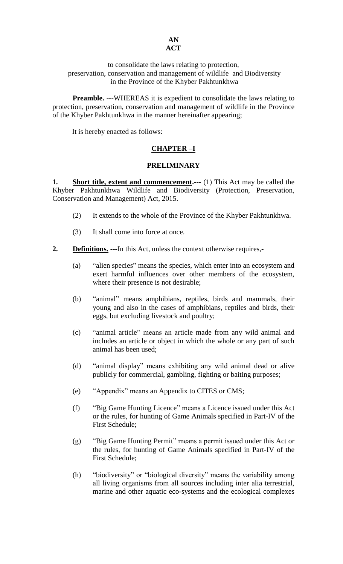#### **AN ACT**

#### to consolidate the laws relating to protection, preservation, conservation and management of wildlife and Biodiversity in the Province of the Khyber Pakhtunkhwa

**Preamble.** ---WHEREAS it is expedient to consolidate the laws relating to protection, preservation, conservation and management of wildlife in the Province of the Khyber Pakhtunkhwa in the manner hereinafter appearing;

It is hereby enacted as follows:

# **CHAPTER –I**

## **PRELIMINARY**

**1. Short title, extent and commencement.** --- (1) This Act may be called the Khyber Pakhtunkhwa Wildlife and Biodiversity (Protection, Preservation, Conservation and Management) Act, 2015.

- (2) It extends to the whole of the Province of the Khyber Pakhtunkhwa.
- (3) It shall come into force at once.
- **2. Definitions.** ---In this Act, unless the context otherwise requires,-
	- (a) "alien species" means the species, which enter into an ecosystem and exert harmful influences over other members of the ecosystem, where their presence is not desirable;
	- (b) "animal" means amphibians, reptiles, birds and mammals, their young and also in the cases of amphibians, reptiles and birds, their eggs, but excluding livestock and poultry;
	- (c) "animal article" means an article made from any wild animal and includes an article or object in which the whole or any part of such animal has been used;
	- (d) "animal display" means exhibiting any wild animal dead or alive publicly for commercial, gambling, fighting or baiting purposes;
	- (e) "Appendix" means an Appendix to CITES or CMS;
	- (f) "Big Game Hunting Licence" means a Licence issued under this Act or the rules, for hunting of Game Animals specified in Part-IV of the First Schedule;
	- (g) "Big Game Hunting Permit" means a permit issued under this Act or the rules, for hunting of Game Animals specified in Part-IV of the First Schedule;
	- (h) "biodiversity" or "biological diversity" means the variability among all living organisms from all sources including inter alia terrestrial, marine and other aquatic eco-systems and the ecological complexes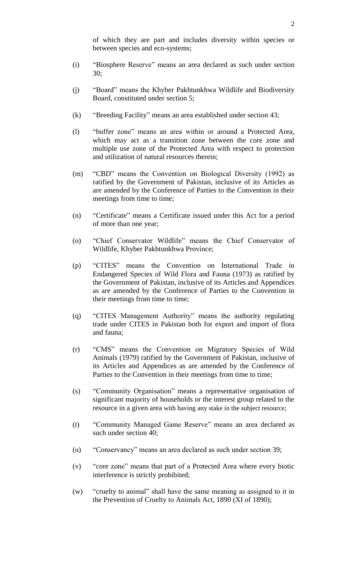of which they are part and includes diversity within species or between species and eco-systems;

- (i) "Biosphere Reserve" means an area declared as such under section 30;
- (j) "Board" means the Khyber Pakhtunkhwa Wildlife and Biodiversity Board, constituted under section 5;
- (k) "Breeding Facility" means an area established under section 43;
- (l) "buffer zone" means an area within or around a Protected Area, which may act as a transition zone between the core zone and multiple use zone of the Protected Area with respect to protection and utilization of natural resources therein;
- (m) "CBD" means the Convention on Biological Diversity (1992) as ratified by the Government of Pakistan, inclusive of its Articles as are amended by the Conference of Parties to the Convention in their meetings from time to time;
- (n) "Certificate" means a Certificate issued under this Act for a period of more than one year;
- (o) "Chief Conservator Wildlife" means the Chief Conservator of Wildlife, Khyber Pakhtunkhwa Province;
- (p) "CITES" means the Convention on International Trade in Endangered Species of Wild Flora and Fauna (1973) as ratified by the Government of Pakistan, inclusive of its Articles and Appendices as are amended by the Conference of Parties to the Convention in their meetings from time to time;
- (q) "CITES Management Authority" means the authority regulating trade under CITES in Pakistan both for export and import of flora and fauna;
- (r) "CMS" means the Convention on Migratory Species of Wild Animals (1979) ratified by the Government of Pakistan, inclusive of its Articles and Appendices as are amended by the Conference of Parties to the Convention in their meetings from time to time;
- (s) "Community Organisation" means a representative organisation of significant majority of households or the interest group related to the resource in a given area with having any stake in the subject resource;
- (t) "Community Managed Game Reserve" means an area declared as such under section 40;
- (u) "Conservancy" means an area declared as such under section 39;
- (v) "core zone" means that part of a Protected Area where every biotic interference is strictly prohibited;
- (w) "cruelty to animal" shall have the same meaning as assigned to it in the Prevention of Cruelty to Animals Act, 1890 (XI of 1890);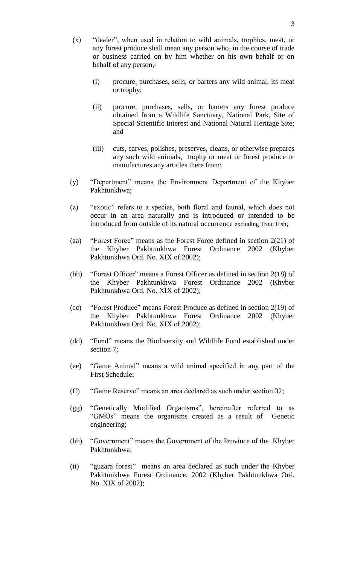- (x) "dealer", when used in relation to wild animals, trophies, meat, or any forest produce shall mean any person who, in the course of trade or business carried on by him whether on his own behalf or on behalf of any person,-
	- (i) procure, purchases, sells, or barters any wild animal, its meat or trophy;
	- (ii) procure, purchases, sells, or barters any forest produce obtained from a Wildlife Sanctuary, National Park, Site of Special Scientific Interest and National Natural Heritage Site; and
	- (iii) cuts, carves, polishes, preserves, cleans, or otherwise prepares any such wild animals, trophy or meat or forest produce or manufactures any articles there from;
- (y) "Department" means the Environment Department of the Khyber Pakhtunkhwa;
- (z) "exotic" refers to a species, both floral and faunal, which does not occur in an area naturally and is introduced or intended to be introduced from outside of its natural occurrence excluding Trout Fish;
- (aa) "Forest Force" means as the Forest Force defined in section 2(21) of the Khyber Pakhtunkhwa Forest Ordinance 2002 (Khyber Pakhtunkhwa Ord. No. XIX of 2002);
- (bb) "Forest Officer" means a Forest Officer as defined in section 2(18) of the Khyber Pakhtunkhwa Forest Ordinance 2002 (Khyber Pakhtunkhwa Ord. No. XIX of 2002);
- (cc) "Forest Produce" means Forest Produce as defined in section 2(19) of the Khyber Pakhtunkhwa Forest Ordinance 2002 (Khyber Pakhtunkhwa Ord. No. XIX of 2002);
- (dd) "Fund" means the Biodiversity and Wildlife Fund established under section 7;
- (ee) "Game Animal" means a wild animal specified in any part of the First Schedule;
- (ff) "Game Reserve" means an area declared as such under section 32;
- (gg) "Genetically Modified Organisms", hereinafter referred to as "GMOs" means the organisms created as a result of Genetic engineering;
- (hh) "Government" means the Government of the Province of the Khyber Pakhtunkhwa;
- (ii) "guzara forest" means an area declared as such under the Khyber Pakhtunkhwa Forest Ordinance, 2002 (Khyber Pakhtunkhwa Ord. No. XIX of 2002);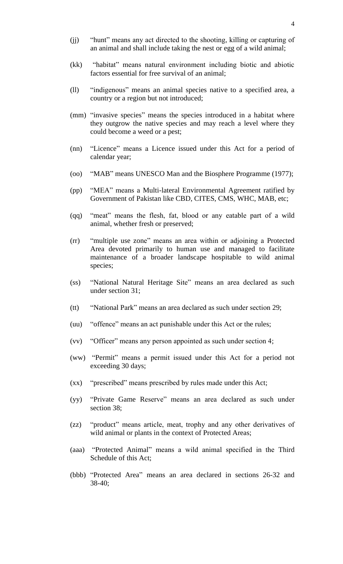- (jj) "hunt" means any act directed to the shooting, killing or capturing of an animal and shall include taking the nest or egg of a wild animal;
- (kk) "habitat" means natural environment including biotic and abiotic factors essential for free survival of an animal;
- (ll) "indigenous" means an animal species native to a specified area, a country or a region but not introduced;
- (mm) "invasive species" means the species introduced in a habitat where they outgrow the native species and may reach a level where they could become a weed or a pest;
- (nn) "Licence" means a Licence issued under this Act for a period of calendar year;
- (oo) "MAB" means UNESCO Man and the Biosphere Programme (1977);
- (pp) "MEA" means a Multi-lateral Environmental Agreement ratified by Government of Pakistan like CBD, CITES, CMS, WHC, MAB, etc;
- (qq) "meat" means the flesh, fat, blood or any eatable part of a wild animal, whether fresh or preserved;
- (rr) "multiple use zone" means an area within or adjoining a Protected Area devoted primarily to human use and managed to facilitate maintenance of a broader landscape hospitable to wild animal species;
- (ss) "National Natural Heritage Site" means an area declared as such under section 31;
- (tt) "National Park" means an area declared as such under section 29;
- (uu) "offence" means an act punishable under this Act or the rules;
- (vv) "Officer" means any person appointed as such under section 4;
- (ww) "Permit" means a permit issued under this Act for a period not exceeding 30 days;
- (xx) "prescribed" means prescribed by rules made under this Act;
- (yy) "Private Game Reserve" means an area declared as such under section 38;
- (zz) "product" means article, meat, trophy and any other derivatives of wild animal or plants in the context of Protected Areas;
- (aaa) "Protected Animal" means a wild animal specified in the Third Schedule of this Act;
- (bbb) "Protected Area" means an area declared in sections 26-32 and 38-40;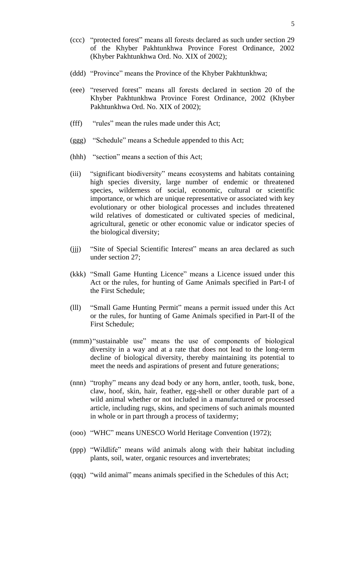- (ccc) "protected forest" means all forests declared as such under section 29 of the Khyber Pakhtunkhwa Province Forest Ordinance, 2002 (Khyber Pakhtunkhwa Ord. No. XIX of 2002);
- (ddd) "Province" means the Province of the Khyber Pakhtunkhwa;
- (eee) "reserved forest" means all forests declared in section 20 of the Khyber Pakhtunkhwa Province Forest Ordinance, 2002 (Khyber Pakhtunkhwa Ord. No. XIX of 2002);
- (fff) "rules" mean the rules made under this Act;
- (ggg) "Schedule" means a Schedule appended to this Act;
- (hhh) "section" means a section of this Act;
- (iii) "significant biodiversity" means ecosystems and habitats containing high species diversity, large number of endemic or threatened species, wilderness of social, economic, cultural or scientific importance, or which are unique representative or associated with key evolutionary or other biological processes and includes threatened wild relatives of domesticated or cultivated species of medicinal, agricultural, genetic or other economic value or indicator species of the biological diversity;
- (jjj) "Site of Special Scientific Interest" means an area declared as such under section 27;
- (kkk) "Small Game Hunting Licence" means a Licence issued under this Act or the rules, for hunting of Game Animals specified in Part-I of the First Schedule;
- (lll) "Small Game Hunting Permit" means a permit issued under this Act or the rules, for hunting of Game Animals specified in Part-II of the First Schedule;
- (mmm) "sustainable use" means the use of components of biological diversity in a way and at a rate that does not lead to the long-term decline of biological diversity, thereby maintaining its potential to meet the needs and aspirations of present and future generations;
- (nnn) "trophy" means any dead body or any horn, antler, tooth, tusk, bone, claw, hoof, skin, hair, feather, egg-shell or other durable part of a wild animal whether or not included in a manufactured or processed article, including rugs, skins, and specimens of such animals mounted in whole or in part through a process of taxidermy;
- (ooo) "WHC" means UNESCO World Heritage Convention (1972);
- (ppp) "Wildlife" means wild animals along with their habitat including plants, soil, water, organic resources and invertebrates;
- (qqq) "wild animal" means animals specified in the Schedules of this Act;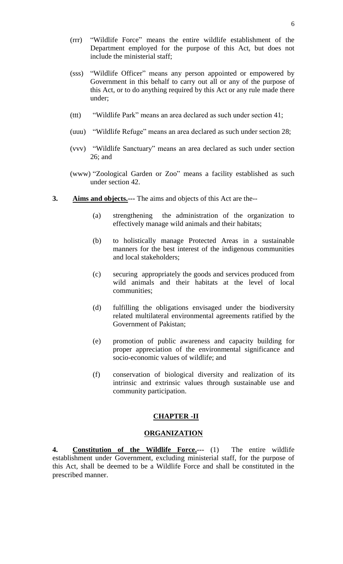- (rrr) "Wildlife Force" means the entire wildlife establishment of the Department employed for the purpose of this Act, but does not include the ministerial staff;
- (sss) "Wildlife Officer" means any person appointed or empowered by Government in this behalf to carry out all or any of the purpose of this Act, or to do anything required by this Act or any rule made there under;
- (ttt) "Wildlife Park" means an area declared as such under section 41;
- (uuu) "Wildlife Refuge" means an area declared as such under section 28;
- (vvv) "Wildlife Sanctuary" means an area declared as such under section 26; and
- (www) "Zoological Garden or Zoo" means a facility established as such under section 42.
- **3. Aims and objects.---** The aims and objects of this Act are the--
	- (a) strengthening the administration of the organization to effectively manage wild animals and their habitats;
	- (b) to holistically manage Protected Areas in a sustainable manners for the best interest of the indigenous communities and local stakeholders;
	- (c) securing appropriately the goods and services produced from wild animals and their habitats at the level of local communities;
	- (d) fulfilling the obligations envisaged under the biodiversity related multilateral environmental agreements ratified by the Government of Pakistan;
	- (e) promotion of public awareness and capacity building for proper appreciation of the environmental significance and socio-economic values of wildlife; and
	- (f) conservation of biological diversity and realization of its intrinsic and extrinsic values through sustainable use and community participation.

## **CHAPTER -II**

#### **ORGANIZATION**

**4. Constitution of the Wildlife Force.---** (1) The entire wildlife establishment under Government, excluding ministerial staff, for the purpose of this Act, shall be deemed to be a Wildlife Force and shall be constituted in the prescribed manner.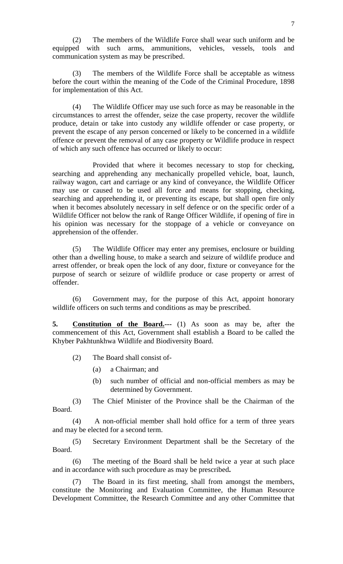(2) The members of the Wildlife Force shall wear such uniform and be equipped with such arms, ammunitions, vehicles, vessels, tools and communication system as may be prescribed.

The members of the Wildlife Force shall be acceptable as witness before the court within the meaning of the Code of the Criminal Procedure, 1898 for implementation of this Act.

(4) The Wildlife Officer may use such force as may be reasonable in the circumstances to arrest the offender, seize the case property, recover the wildlife produce, detain or take into custody any wildlife offender or case property, or prevent the escape of any person concerned or likely to be concerned in a wildlife offence or prevent the removal of any case property or Wildlife produce in respect of which any such offence has occurred or likely to occur:

Provided that where it becomes necessary to stop for checking, searching and apprehending any mechanically propelled vehicle, boat, launch, railway wagon, cart and carriage or any kind of conveyance, the Wildlife Officer may use or caused to be used all force and means for stopping, checking, searching and apprehending it, or preventing its escape, but shall open fire only when it becomes absolutely necessary in self defence or on the specific order of a Wildlife Officer not below the rank of Range Officer Wildlife, if opening of fire in his opinion was necessary for the stoppage of a vehicle or conveyance on apprehension of the offender.

(5) The Wildlife Officer may enter any premises, enclosure or building other than a dwelling house, to make a search and seizure of wildlife produce and arrest offender, or break open the lock of any door, fixture or conveyance for the purpose of search or seizure of wildlife produce or case property or arrest of offender.

(6) Government may, for the purpose of this Act, appoint honorary wildlife officers on such terms and conditions as may be prescribed.

**5. Constitution of the Board.---** (1) As soon as may be, after the commencement of this Act, Government shall establish a Board to be called the Khyber Pakhtunkhwa Wildlife and Biodiversity Board.

- (2) The Board shall consist of-
	- (a) a Chairman; and
	- (b) such number of official and non-official members as may be determined by Government.

(3) The Chief Minister of the Province shall be the Chairman of the Board.

(4) A non-official member shall hold office for a term of three years and may be elected for a second term.

(5) Secretary Environment Department shall be the Secretary of the Board.

(6) The meeting of the Board shall be held twice a year at such place and in accordance with such procedure as may be prescribed**.**

(7) The Board in its first meeting, shall from amongst the members, constitute the Monitoring and Evaluation Committee, the Human Resource Development Committee, the Research Committee and any other Committee that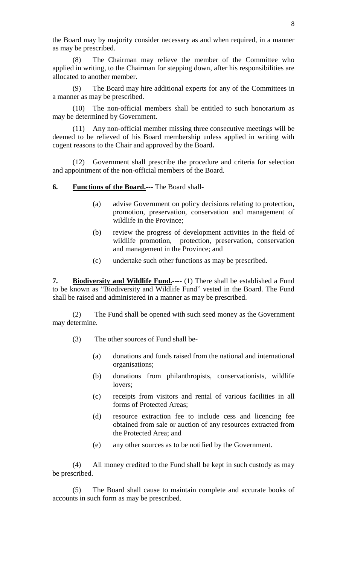the Board may by majority consider necessary as and when required, in a manner as may be prescribed.

(8) The Chairman may relieve the member of the Committee who applied in writing, to the Chairman for stepping down, after his responsibilities are allocated to another member.

(9) The Board may hire additional experts for any of the Committees in a manner as may be prescribed.

(10) The non-official members shall be entitled to such honorarium as may be determined by Government.

(11) Any non-official member missing three consecutive meetings will be deemed to be relieved of his Board membership unless applied in writing with cogent reasons to the Chair and approved by the Board**.**

(12) Government shall prescribe the procedure and criteria for selection and appointment of the non-official members of the Board.

**6. Functions of the Board.---** The Board shall-

- (a) advise Government on policy decisions relating to protection, promotion, preservation, conservation and management of wildlife in the Province;
- (b) review the progress of development activities in the field of wildlife promotion, protection, preservation, conservation and management in the Province; and
- (c) undertake such other functions as may be prescribed.

**7. Biodiversity and Wildlife Fund.----** (1) There shall be established a Fund to be known as "Biodiversity and Wildlife Fund" vested in the Board. The Fund shall be raised and administered in a manner as may be prescribed.

(2) The Fund shall be opened with such seed money as the Government may determine.

- (3) The other sources of Fund shall be-
	- (a) donations and funds raised from the national and international organisations;
	- (b) donations from philanthropists, conservationists, wildlife lovers;
	- (c) receipts from visitors and rental of various facilities in all forms of Protected Areas;
	- (d) resource extraction fee to include cess and licencing fee obtained from sale or auction of any resources extracted from the Protected Area; and
	- (e) any other sources as to be notified by the Government.

(4) All money credited to the Fund shall be kept in such custody as may be prescribed.

(5) The Board shall cause to maintain complete and accurate books of accounts in such form as may be prescribed.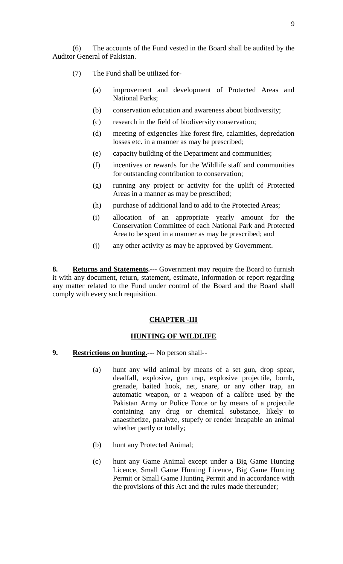(6) The accounts of the Fund vested in the Board shall be audited by the Auditor General of Pakistan.

- (7) The Fund shall be utilized for-
	- (a) improvement and development of Protected Areas and National Parks;
	- (b) conservation education and awareness about biodiversity;
	- (c) research in the field of biodiversity conservation;
	- (d) meeting of exigencies like forest fire, calamities, depredation losses etc. in a manner as may be prescribed;
	- (e) capacity building of the Department and communities;
	- (f) incentives or rewards for the Wildlife staff and communities for outstanding contribution to conservation;
	- (g) running any project or activity for the uplift of Protected Areas in a manner as may be prescribed;
	- (h) purchase of additional land to add to the Protected Areas;
	- (i) allocation of an appropriate yearly amount for the Conservation Committee of each National Park and Protected Area to be spent in a manner as may be prescribed; and
	- (j) any other activity as may be approved by Government.

**8. Returns and Statements.---** Government may require the Board to furnish it with any document, return, statement, estimate, information or report regarding any matter related to the Fund under control of the Board and the Board shall comply with every such requisition.

## **CHAPTER -III**

## **HUNTING OF WILDLIFE**

- **9. Restrictions on hunting.---** No person shall--
	- (a) hunt any wild animal by means of a set gun, drop spear, deadfall, explosive, gun trap, explosive projectile, bomb, grenade, baited hook, net, snare, or any other trap, an automatic weapon, or a weapon of a calibre used by the Pakistan Army or Police Force or by means of a projectile containing any drug or chemical substance, likely to anaesthetize, paralyze, stupefy or render incapable an animal whether partly or totally;
	- (b) hunt any Protected Animal;
	- (c) hunt any Game Animal except under a Big Game Hunting Licence, Small Game Hunting Licence, Big Game Hunting Permit or Small Game Hunting Permit and in accordance with the provisions of this Act and the rules made thereunder;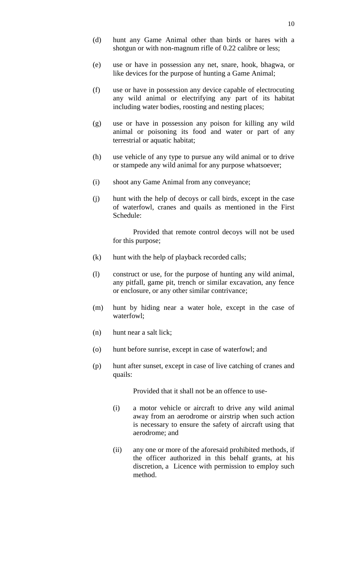- (d) hunt any Game Animal other than birds or hares with a shotgun or with non-magnum rifle of 0.22 calibre or less;
- (e) use or have in possession any net, snare, hook, bhagwa, or like devices for the purpose of hunting a Game Animal;
- (f) use or have in possession any device capable of electrocuting any wild animal or electrifying any part of its habitat including water bodies, roosting and nesting places;
- (g) use or have in possession any poison for killing any wild animal or poisoning its food and water or part of any terrestrial or aquatic habitat;
- (h) use vehicle of any type to pursue any wild animal or to drive or stampede any wild animal for any purpose whatsoever;
- (i) shoot any Game Animal from any conveyance;
- (j) hunt with the help of decoys or call birds, except in the case of waterfowl, cranes and quails as mentioned in the First Schedule:

Provided that remote control decoys will not be used for this purpose;

- (k) hunt with the help of playback recorded calls;
- (l) construct or use, for the purpose of hunting any wild animal, any pitfall, game pit, trench or similar excavation, any fence or enclosure, or any other similar contrivance;
- (m) hunt by hiding near a water hole, except in the case of waterfowl;
- (n) hunt near a salt lick;
- (o) hunt before sunrise, except in case of waterfowl; and
- (p) hunt after sunset, except in case of live catching of cranes and quails:

Provided that it shall not be an offence to use-

- (i) a motor vehicle or aircraft to drive any wild animal away from an aerodrome or airstrip when such action is necessary to ensure the safety of aircraft using that aerodrome; and
- (ii) any one or more of the aforesaid prohibited methods, if the officer authorized in this behalf grants, at his discretion, a Licence with permission to employ such method.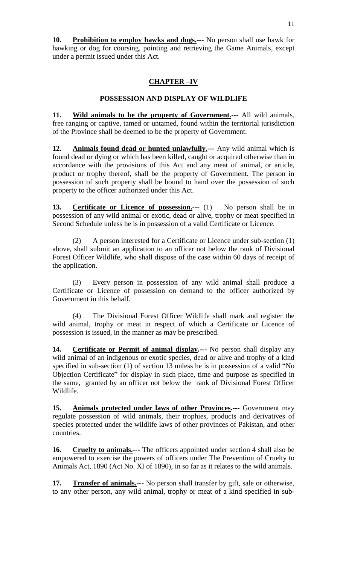**10. Prohibition to employ hawks and dogs.---** No person shall use hawk for hawking or dog for coursing, pointing and retrieving the Game Animals, except under a permit issued under this Act.

# **CHAPTER –IV**

# **POSSESSION AND DISPLAY OF WILDLIFE**

**11. Wild animals to be the property of Government.---** All wild animals, free ranging or captive, tamed or untamed, found within the territorial jurisdiction of the Province shall be deemed to be the property of Government.

**12. Animals found dead or hunted unlawfully.---** Any wild animal which is found dead or dying or which has been killed, caught or acquired otherwise than in accordance with the provisions of this Act and any meat of animal, or article, product or trophy thereof, shall be the property of Government. The person in possession of such property shall be bound to hand over the possession of such property to the officer authorized under this Act.

**13. Certificate or Licence of possession.**--- (1) No person shall be in possession of any wild animal or exotic, dead or alive, trophy or meat specified in Second Schedule unless he is in possession of a valid Certificate or Licence.

(2) A person interested for a Certificate or Licence under sub-section (1) above, shall submit an application to an officer not below the rank of Divisional Forest Officer Wildlife, who shall dispose of the case within 60 days of receipt of the application.

(3) Every person in possession of any wild animal shall produce a Certificate or Licence of possession on demand to the officer authorized by Government in this behalf.

(4) The Divisional Forest Officer Wildlife shall mark and register the wild animal, trophy or meat in respect of which a Certificate or Licence of possession is issued, in the manner as may be prescribed.

**14. Certificate or Permit of animal display.---** No person shall display any wild animal of an indigenous or exotic species, dead or alive and trophy of a kind specified in sub-section (1) of section 13 unless he is in possession of a valid "No Objection Certificate" for display in such place, time and purpose as specified in the same, granted by an officer not below the rank of Divisional Forest Officer Wildlife.

**15. Animals protected under laws of other Provinces.---** Government may regulate possession of wild animals, their trophies, products and derivatives of species protected under the wildlife laws of other provinces of Pakistan, and other countries.

**16. Cruelty to animals.---** The officers appointed under section 4 shall also be empowered to exercise the powers of officers under The Prevention of Cruelty to Animals Act, 1890 (Act No. XI of 1890), in so far as it relates to the wild animals.

**17. Transfer of animals.---** No person shall transfer by gift, sale or otherwise, to any other person, any wild animal, trophy or meat of a kind specified in sub-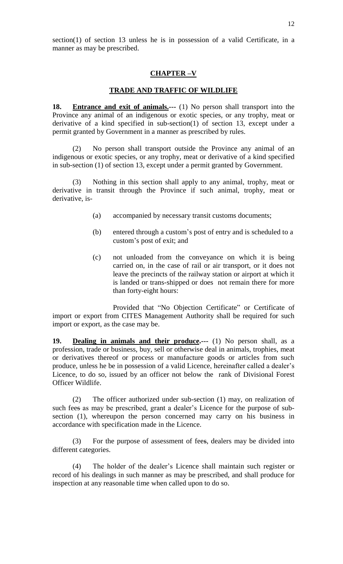# **CHAPTER –V**

#### **TRADE AND TRAFFIC OF WILDLIFE**

**18. Entrance and exit of animals.---** (1) No person shall transport into the Province any animal of an indigenous or exotic species, or any trophy, meat or derivative of a kind specified in sub-section(1) of section 13, except under a permit granted by Government in a manner as prescribed by rules.

(2) No person shall transport outside the Province any animal of an indigenous or exotic species, or any trophy, meat or derivative of a kind specified in sub-section (1) of section 13, except under a permit granted by Government.

(3) Nothing in this section shall apply to any animal, trophy, meat or derivative in transit through the Province if such animal, trophy, meat or derivative, is-

- (a) accompanied by necessary transit customs documents;
- (b) entered through a custom's post of entry and is scheduled to a custom's post of exit; and
- (c) not unloaded from the conveyance on which it is being carried on, in the case of rail or air transport, or it does not leave the precincts of the railway station or airport at which it is landed or trans-shipped or does not remain there for more than forty-eight hours:

Provided that "No Objection Certificate" or Certificate of import or export from CITES Management Authority shall be required for such import or export, as the case may be.

**19. Dealing in animals and their produce.---** (1) No person shall, as a profession, trade or business, buy, sell or otherwise deal in animals, trophies, meat or derivatives thereof or process or manufacture goods or articles from such produce, unless he be in possession of a valid Licence, hereinafter called a dealer's Licence, to do so, issued by an officer not below the rank of Divisional Forest Officer Wildlife.

(2) The officer authorized under sub-section (1) may, on realization of such fees as may be prescribed, grant a dealer's Licence for the purpose of subsection (1), whereupon the person concerned may carry on his business in accordance with specification made in the Licence.

(3) For the purpose of assessment of fees, dealers may be divided into different categories.

(4) The holder of the dealer's Licence shall maintain such register or record of his dealings in such manner as may be prescribed, and shall produce for inspection at any reasonable time when called upon to do so.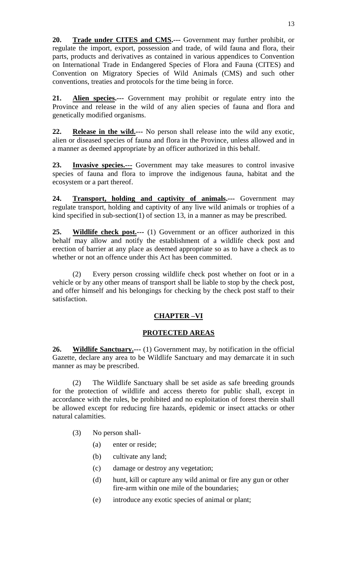**20. Trade under CITES and CMS.---** Government may further prohibit, or regulate the import, export, possession and trade, of wild fauna and flora, their parts, products and derivatives as contained in various appendices to Convention on International Trade in Endangered Species of Flora and Fauna (CITES) and Convention on Migratory Species of Wild Animals (CMS) and such other conventions, treaties and protocols for the time being in force.

**21. Alien species.---** Government may prohibit or regulate entry into the Province and release in the wild of any alien species of fauna and flora and genetically modified organisms.

**22. Release in the wild.---** No person shall release into the wild any exotic, alien or diseased species of fauna and flora in the Province, unless allowed and in a manner as deemed appropriate by an officer authorized in this behalf.

**23. Invasive species.---** Government may take measures to control invasive species of fauna and flora to improve the indigenous fauna, habitat and the ecosystem or a part thereof.

**24. Transport, holding and captivity of animals.---** Government may regulate transport, holding and captivity of any live wild animals or trophies of a kind specified in sub-section(1) of section 13, in a manner as may be prescribed.

**25. Wildlife check post.---** (1) Government or an officer authorized in this behalf may allow and notify the establishment of a wildlife check post and erection of barrier at any place as deemed appropriate so as to have a check as to whether or not an offence under this Act has been committed.

(2) Every person crossing wildlife check post whether on foot or in a vehicle or by any other means of transport shall be liable to stop by the check post, and offer himself and his belongings for checking by the check post staff to their satisfaction.

# **CHAPTER –VI**

# **PROTECTED AREAS**

**26. Wildlife Sanctuary.---** (1) Government may, by notification in the official Gazette, declare any area to be Wildlife Sanctuary and may demarcate it in such manner as may be prescribed.

(2) The Wildlife Sanctuary shall be set aside as safe breeding grounds for the protection of wildlife and access thereto for public shall, except in accordance with the rules, be prohibited and no exploitation of forest therein shall be allowed except for reducing fire hazards, epidemic or insect attacks or other natural calamities.

- (3) No person shall-
	- (a) enter or reside;
	- (b) cultivate any land;
	- (c) damage or destroy any vegetation;
	- (d) hunt, kill or capture any wild animal or fire any gun or other fire-arm within one mile of the boundaries;
	- (e) introduce any exotic species of animal or plant;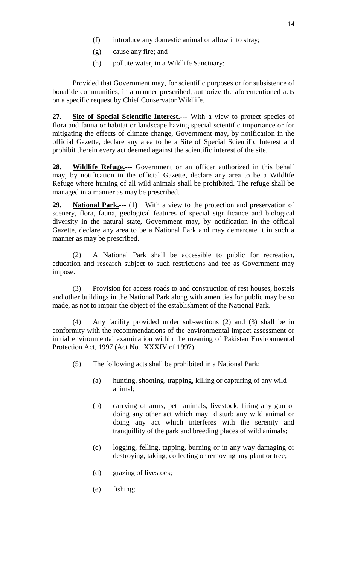- (f) introduce any domestic animal or allow it to stray;
- (g) cause any fire; and
- (h) pollute water, in a Wildlife Sanctuary:

Provided that Government may, for scientific purposes or for subsistence of bonafide communities, in a manner prescribed, authorize the aforementioned acts on a specific request by Chief Conservator Wildlife.

**27. Site of Special Scientific Interest.---** With a view to protect species of flora and fauna or habitat or landscape having special scientific importance or for mitigating the effects of climate change, Government may, by notification in the official Gazette, declare any area to be a Site of Special Scientific Interest and prohibit therein every act deemed against the scientific interest of the site.

**28. Wildlife Refuge.---** Government or an officer authorized in this behalf may, by notification in the official Gazette, declare any area to be a Wildlife Refuge where hunting of all wild animals shall be prohibited. The refuge shall be managed in a manner as may be prescribed.

**29. National Park.---** (1) With a view to the protection and preservation of scenery, flora, fauna, geological features of special significance and biological diversity in the natural state, Government may, by notification in the official Gazette, declare any area to be a National Park and may demarcate it in such a manner as may be prescribed.

(2) A National Park shall be accessible to public for recreation, education and research subject to such restrictions and fee as Government may impose.

(3) Provision for access roads to and construction of rest houses, hostels and other buildings in the National Park along with amenities for public may be so made, as not to impair the object of the establishment of the National Park.

(4) Any facility provided under sub-sections (2) and (3) shall be in conformity with the recommendations of the environmental impact assessment or initial environmental examination within the meaning of Pakistan Environmental Protection Act, 1997 (Act No. XXXIV of 1997).

- (5) The following acts shall be prohibited in a National Park:
	- (a) hunting, shooting, trapping, killing or capturing of any wild animal;
	- (b) carrying of arms, pet animals, livestock, firing any gun or doing any other act which may disturb any wild animal or doing any act which interferes with the serenity and tranquillity of the park and breeding places of wild animals;
	- (c) logging, felling, tapping, burning or in any way damaging or destroying, taking, collecting or removing any plant or tree;
	- (d) grazing of livestock;
	- (e) fishing;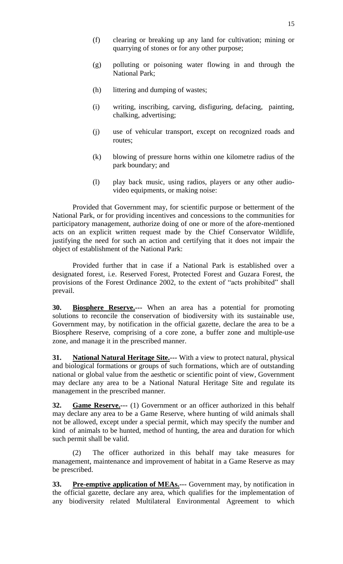- (f) clearing or breaking up any land for cultivation; mining or quarrying of stones or for any other purpose;
- (g) polluting or poisoning water flowing in and through the National Park;
- (h) littering and dumping of wastes;
- (i) writing, inscribing, carving, disfiguring, defacing, painting, chalking, advertising;
- (j) use of vehicular transport, except on recognized roads and routes;
- (k) blowing of pressure horns within one kilometre radius of the park boundary; and
- (l) play back music, using radios, players or any other audiovideo equipments, or making noise:

Provided that Government may, for scientific purpose or betterment of the National Park, or for providing incentives and concessions to the communities for participatory management, authorize doing of one or more of the afore-mentioned acts on an explicit written request made by the Chief Conservator Wildlife, justifying the need for such an action and certifying that it does not impair the object of establishment of the National Park:

Provided further that in case if a National Park is established over a designated forest, i.e. Reserved Forest, Protected Forest and Guzara Forest, the provisions of the Forest Ordinance 2002, to the extent of "acts prohibited" shall prevail.

**30. Biosphere Reserve.---** When an area has a potential for promoting solutions to reconcile the conservation of biodiversity with its sustainable use, Government may, by notification in the official gazette, declare the area to be a Biosphere Reserve, comprising of a core zone, a buffer zone and multiple-use zone, and manage it in the prescribed manner.

**31. National Natural Heritage Site.---** With a view to protect natural, physical and biological formations or groups of such formations, which are of outstanding national or global value from the aesthetic or scientific point of view, Government may declare any area to be a National Natural Heritage Site and regulate its management in the prescribed manner.

**32. Game Reserve.**--- (1) Government or an officer authorized in this behalf may declare any area to be a Game Reserve, where hunting of wild animals shall not be allowed, except under a special permit, which may specify the number and kind of animals to be hunted, method of hunting, the area and duration for which such permit shall be valid.

(2) The officer authorized in this behalf may take measures for management, maintenance and improvement of habitat in a Game Reserve as may be prescribed.

**33.** Pre-emptive application of MEAs.--- Government may, by notification in the official gazette, declare any area, which qualifies for the implementation of any biodiversity related Multilateral Environmental Agreement to which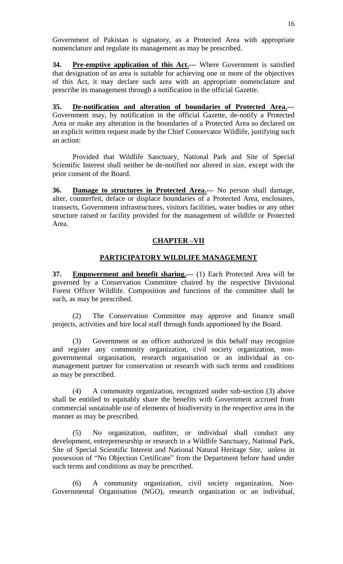Government of Pakistan is signatory, as a Protected Area with appropriate nomenclature and regulate its management as may be prescribed.

**34. Pre-emptive application of this Act.---** Where Government is satisfied that designation of an area is suitable for achieving one or more of the objectives of this Act, it may declare such area with an appropriate nomenclature and prescribe its management through a notification in the official Gazette.

**35. De-notification and alteration of boundaries of Protected Area.---** Government may, by notification in the official Gazette, de-notify a Protected Area or make any alteration in the boundaries of a Protected Area so declared on an explicit written request made by the Chief Conservator Wildlife, justifying such an action:

Provided that Wildlife Sanctuary, National Park and Site of Special Scientific Interest shall neither be de-notified nor altered in size, except with the prior consent of the Board.

**36. Damage to structures in Protected Area.---** No person shall damage, alter, counterfeit, deface or displace boundaries of a Protected Area, enclosures, transects, Government infrastructures, visitors facilities, water bodies or any other structure raised or facility provided for the management of wildlife or Protected Area.

# **CHAPTER –VII**

## **PARTICIPATORY WILDLIFE MANAGEMENT**

**37. Empowerment and benefit sharing.---** (1) Each Protected Area will be governed by a Conservation Committee chaired by the respective Divisional Forest Officer Wildlife. Composition and functions of the committee shall be such, as may be prescribed.

(2) The Conservation Committee may approve and finance small projects, activities and hire local staff through funds apportioned by the Board.

(3) Government or an officer authorized in this behalf may recognize and register any community organization, civil society organization, nongovernmental organisation, research organisation or an individual as comanagement partner for conservation or research with such terms and conditions as may be prescribed.

(4) A community organization, recognized under sub-section (3) above shall be entitled to equitably share the benefits with Government accrued from commercial sustainable use of elements of biodiversity in the respective area in the manner as may be prescribed.

(5) No organization, outfitter, or individual shall conduct any development, entrepreneurship or research in a Wildlife Sanctuary, National Park, Site of Special Scientific Interest and National Natural Heritage Site, unless in possession of "No Objection Certificate" from the Department before hand under such terms and conditions as may be prescribed.

(6) A community organization, civil society organization, Non-Governmental Organisation (NGO), research organization or an individual,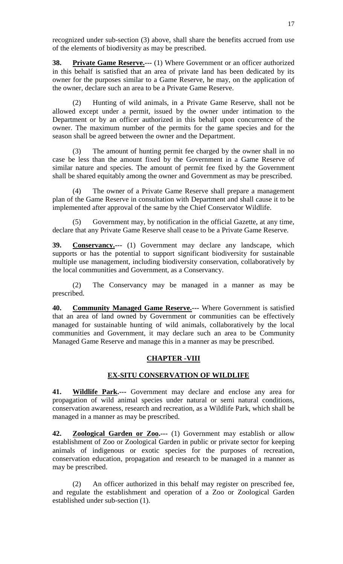recognized under sub-section (3) above, shall share the benefits accrued from use of the elements of biodiversity as may be prescribed.

**38. Private Game Reserve.---** (1) Where Government or an officer authorized in this behalf is satisfied that an area of private land has been dedicated by its owner for the purposes similar to a Game Reserve, he may, on the application of the owner, declare such an area to be a Private Game Reserve.

(2) Hunting of wild animals, in a Private Game Reserve, shall not be allowed except under a permit, issued by the owner under intimation to the Department or by an officer authorized in this behalf upon concurrence of the owner. The maximum number of the permits for the game species and for the season shall be agreed between the owner and the Department.

(3) The amount of hunting permit fee charged by the owner shall in no case be less than the amount fixed by the Government in a Game Reserve of similar nature and species. The amount of permit fee fixed by the Government shall be shared equitably among the owner and Government as may be prescribed.

(4) The owner of a Private Game Reserve shall prepare a management plan of the Game Reserve in consultation with Department and shall cause it to be implemented after approval of the same by the Chief Conservator Wildlife.

Government may, by notification in the official Gazette, at any time, declare that any Private Game Reserve shall cease to be a Private Game Reserve.

**39. Conservancy.---** (1) Government may declare any landscape, which supports or has the potential to support significant biodiversity for sustainable multiple use management, including biodiversity conservation, collaboratively by the local communities and Government, as a Conservancy.

(2) The Conservancy may be managed in a manner as may be prescribed.

**40. Community Managed Game Reserve.---** Where Government is satisfied that an area of land owned by Government or communities can be effectively managed for sustainable hunting of wild animals, collaboratively by the local communities and Government, it may declare such an area to be Community Managed Game Reserve and manage this in a manner as may be prescribed.

## **CHAPTER -VIII**

## **EX-SITU CONSERVATION OF WILDLIFE**

**41. Wildlife Park.---** Government may declare and enclose any area for propagation of wild animal species under natural or semi natural conditions, conservation awareness, research and recreation, as a Wildlife Park, which shall be managed in a manner as may be prescribed.

**42. Zoological Garden or Zoo.---** (1) Government may establish or allow establishment of Zoo or Zoological Garden in public or private sector for keeping animals of indigenous or exotic species for the purposes of recreation, conservation education, propagation and research to be managed in a manner as may be prescribed.

(2) An officer authorized in this behalf may register on prescribed fee, and regulate the establishment and operation of a Zoo or Zoological Garden established under sub-section (1).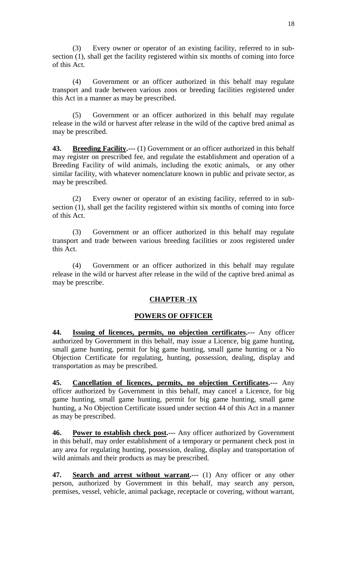(3) Every owner or operator of an existing facility, referred to in subsection (1), shall get the facility registered within six months of coming into force of this Act.

(4) Government or an officer authorized in this behalf may regulate transport and trade between various zoos or breeding facilities registered under this Act in a manner as may be prescribed.

(5) Government or an officer authorized in this behalf may regulate release in the wild or harvest after release in the wild of the captive bred animal as may be prescribed.

**43. Breeding Facility.---** (1) Government or an officer authorized in this behalf may register on prescribed fee, and regulate the establishment and operation of a Breeding Facility of wild animals, including the exotic animals, or any other similar facility, with whatever nomenclature known in public and private sector, as may be prescribed.

(2) Every owner or operator of an existing facility, referred to in subsection (1), shall get the facility registered within six months of coming into force of this Act.

(3) Government or an officer authorized in this behalf may regulate transport and trade between various breeding facilities or zoos registered under this Act.

(4) Government or an officer authorized in this behalf may regulate release in the wild or harvest after release in the wild of the captive bred animal as may be prescribe.

## **CHAPTER -IX**

## **POWERS OF OFFICER**

**44. Issuing of licences, permits, no objection certificates.---** Any officer authorized by Government in this behalf, may issue a Licence, big game hunting, small game hunting, permit for big game hunting, small game hunting or a No Objection Certificate for regulating, hunting, possession, dealing, display and transportation as may be prescribed.

**45. Cancellation of licences, permits, no objection Certificates.---** Any officer authorized by Government in this behalf, may cancel a Licence, for big game hunting, small game hunting, permit for big game hunting, small game hunting, a No Objection Certificate issued under section 44 of this Act in a manner as may be prescribed.

**46. Power to establish check post.---** Any officer authorized by Government in this behalf, may order establishment of a temporary or permanent check post in any area for regulating hunting, possession, dealing, display and transportation of wild animals and their products as may be prescribed.

**47. Search and arrest without warrant.---** (1) Any officer or any other person, authorized by Government in this behalf, may search any person, premises, vessel, vehicle, animal package, receptacle or covering, without warrant,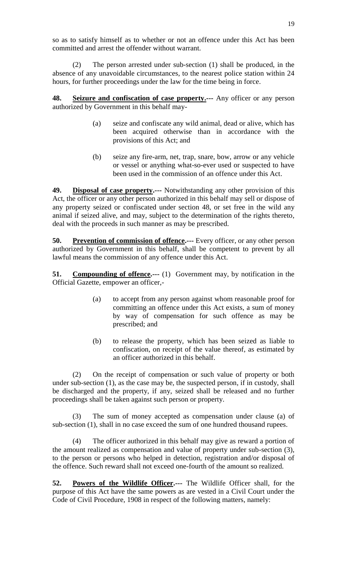so as to satisfy himself as to whether or not an offence under this Act has been committed and arrest the offender without warrant.

(2) The person arrested under sub-section (1) shall be produced, in the absence of any unavoidable circumstances, to the nearest police station within 24 hours, for further proceedings under the law for the time being in force.

**48. Seizure and confiscation of case property.---** Any officer or any person authorized by Government in this behalf may-

- (a) seize and confiscate any wild animal, dead or alive, which has been acquired otherwise than in accordance with the provisions of this Act; and
- (b) seize any fire-arm, net, trap, snare, bow, arrow or any vehicle or vessel or anything what-so-ever used or suspected to have been used in the commission of an offence under this Act.

**49. Disposal of case property.---** Notwithstanding any other provision of this Act, the officer or any other person authorized in this behalf may sell or dispose of any property seized or confiscated under section 48, or set free in the wild any animal if seized alive, and may, subject to the determination of the rights thereto, deal with the proceeds in such manner as may be prescribed.

**50.** Prevention of commission of offence.--- Every officer, or any other person authorized by Government in this behalf, shall be competent to prevent by all lawful means the commission of any offence under this Act.

**51.** Compounding of offence.... (1) Government may, by notification in the Official Gazette, empower an officer,-

- (a) to accept from any person against whom reasonable proof for committing an offence under this Act exists, a sum of money by way of compensation for such offence as may be prescribed; and
- (b) to release the property, which has been seized as liable to confiscation, on receipt of the value thereof, as estimated by an officer authorized in this behalf.

(2) On the receipt of compensation or such value of property or both under sub-section (1), as the case may be, the suspected person, if in custody, shall be discharged and the property, if any, seized shall be released and no further proceedings shall be taken against such person or property.

(3) The sum of money accepted as compensation under clause (a) of sub-section (1), shall in no case exceed the sum of one hundred thousand rupees.

(4) The officer authorized in this behalf may give as reward a portion of the amount realized as compensation and value of property under sub-section (3), to the person or persons who helped in detection, registration and/or disposal of the offence. Such reward shall not exceed one-fourth of the amount so realized.

**52. Powers of the Wildlife Officer.---** The Wildlife Officer shall, for the purpose of this Act have the same powers as are vested in a Civil Court under the Code of Civil Procedure, 1908 in respect of the following matters, namely: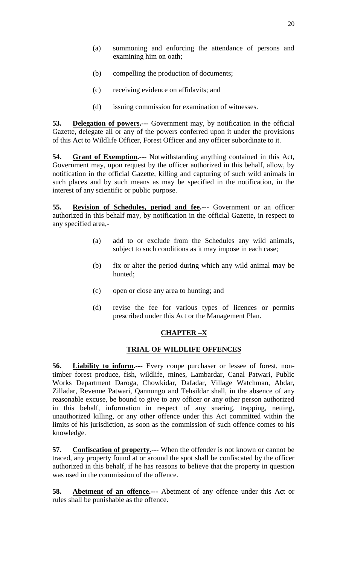- (a) summoning and enforcing the attendance of persons and examining him on oath;
- (b) compelling the production of documents;
- (c) receiving evidence on affidavits; and
- (d) issuing commission for examination of witnesses.

**53. Delegation of powers.---** Government may, by notification in the official Gazette, delegate all or any of the powers conferred upon it under the provisions of this Act to Wildlife Officer, Forest Officer and any officer subordinate to it.

**54. Grant of Exemption.---** Notwithstanding anything contained in this Act, Government may, upon request by the officer authorized in this behalf, allow, by notification in the official Gazette, killing and capturing of such wild animals in such places and by such means as may be specified in the notification, in the interest of any scientific or public purpose.

**55. Revision of Schedules, period and fee.---** Government or an officer authorized in this behalf may, by notification in the official Gazette, in respect to any specified area,-

- (a) add to or exclude from the Schedules any wild animals, subject to such conditions as it may impose in each case;
- (b) fix or alter the period during which any wild animal may be hunted;
- (c) open or close any area to hunting; and
- (d) revise the fee for various types of licences or permits prescribed under this Act or the Management Plan.

# **CHAPTER –X**

## **TRIAL OF WILDLIFE OFFENCES**

**56. Liability to inform.---** Every coupe purchaser or lessee of forest, nontimber forest produce, fish, wildlife, mines, Lambardar, Canal Patwari, Public Works Department Daroga, Chowkidar, Dafadar, Village Watchman, Abdar, Zilladar, Revenue Patwari, Qannungo and Tehsildar shall, in the absence of any reasonable excuse, be bound to give to any officer or any other person authorized in this behalf, information in respect of any snaring, trapping, netting, unauthorized killing, or any other offence under this Act committed within the limits of his jurisdiction, as soon as the commission of such offence comes to his knowledge.

**57. Confiscation of property.---** When the offender is not known or cannot be traced, any property found at or around the spot shall be confiscated by the officer authorized in this behalf, if he has reasons to believe that the property in question was used in the commission of the offence.

**58. Abetment of an offence.---** Abetment of any offence under this Act or rules shall be punishable as the offence.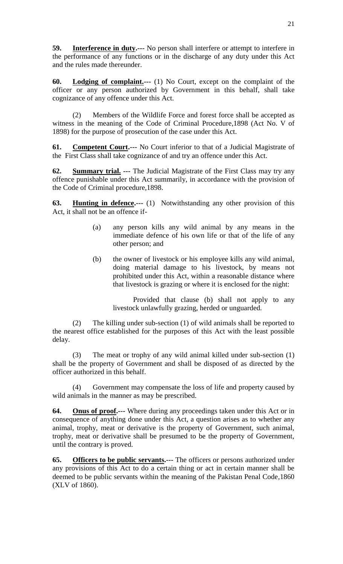**59. Interference in duty.---** No person shall interfere or attempt to interfere in the performance of any functions or in the discharge of any duty under this Act and the rules made thereunder.

**60. Lodging of complaint.---** (1) No Court, except on the complaint of the officer or any person authorized by Government in this behalf, shall take cognizance of any offence under this Act.

(2) Members of the Wildlife Force and forest force shall be accepted as witness in the meaning of the Code of Criminal Procedure,1898 (Act No. V of 1898) for the purpose of prosecution of the case under this Act.

**61. Competent Court.---** No Court inferior to that of a Judicial Magistrate of the First Class shall take cognizance of and try an offence under this Act.

**62. Summary trial. ---** The Judicial Magistrate of the First Class may try any offence punishable under this Act summarily, in accordance with the provision of the Code of Criminal procedure,1898.

**63. Hunting in defence.---** (1) Notwithstanding any other provision of this Act, it shall not be an offence if-

- (a) any person kills any wild animal by any means in the immediate defence of his own life or that of the life of any other person; and
- (b) the owner of livestock or his employee kills any wild animal, doing material damage to his livestock, by means not prohibited under this Act, within a reasonable distance where that livestock is grazing or where it is enclosed for the night:

Provided that clause (b) shall not apply to any livestock unlawfully grazing, herded or unguarded.

(2) The killing under sub-section (1) of wild animals shall be reported to the nearest office established for the purposes of this Act with the least possible delay.

(3) The meat or trophy of any wild animal killed under sub-section (1) shall be the property of Government and shall be disposed of as directed by the officer authorized in this behalf.

(4) Government may compensate the loss of life and property caused by wild animals in the manner as may be prescribed.

**64. Onus of proof.---** Where during any proceedings taken under this Act or in consequence of anything done under this Act, a question arises as to whether any animal, trophy, meat or derivative is the property of Government, such animal, trophy, meat or derivative shall be presumed to be the property of Government, until the contrary is proved.

**65. Officers to be public servants.---** The officers or persons authorized under any provisions of this Act to do a certain thing or act in certain manner shall be deemed to be public servants within the meaning of the Pakistan Penal Code,1860 (XLV of 1860).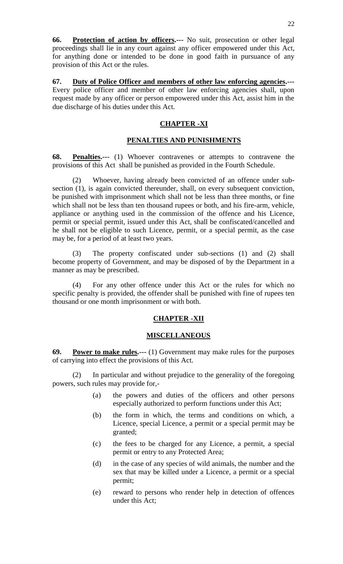**66. Protection of action by officers.---** No suit, prosecution or other legal proceedings shall lie in any court against any officer empowered under this Act, for anything done or intended to be done in good faith in pursuance of any provision of this Act or the rules.

**67. Duty of Police Officer and members of other law enforcing agencies.---** Every police officer and member of other law enforcing agencies shall, upon request made by any officer or person empowered under this Act, assist him in the due discharge of his duties under this Act.

# **CHAPTER -XI**

#### **PENALTIES AND PUNISHMENTS**

**68. Penalties.---** (1) Whoever contravenes or attempts to contravene the provisions of this Act shall be punished as provided in the Fourth Schedule.

(2) Whoever, having already been convicted of an offence under subsection (1), is again convicted thereunder, shall, on every subsequent conviction, be punished with imprisonment which shall not be less than three months, or fine which shall not be less than ten thousand rupees or both, and his fire-arm, vehicle, appliance or anything used in the commission of the offence and his Licence, permit or special permit, issued under this Act, shall be confiscated/cancelled and he shall not be eligible to such Licence, permit, or a special permit, as the case may be, for a period of at least two years.

The property confiscated under sub-sections (1) and (2) shall become property of Government, and may be disposed of by the Department in a manner as may be prescribed.

(4) For any other offence under this Act or the rules for which no specific penalty is provided, the offender shall be punished with fine of rupees ten thousand or one month imprisonment or with both.

## **CHAPTER -XII**

## **MISCELLANEOUS**

**69. Power to make rules.---** (1) Government may make rules for the purposes of carrying into effect the provisions of this Act.

(2) In particular and without prejudice to the generality of the foregoing powers, such rules may provide for,-

- (a) the powers and duties of the officers and other persons especially authorized to perform functions under this Act;
- (b) the form in which, the terms and conditions on which, a Licence, special Licence, a permit or a special permit may be granted;
- (c) the fees to be charged for any Licence, a permit, a special permit or entry to any Protected Area;
- (d) in the case of any species of wild animals, the number and the sex that may be killed under a Licence, a permit or a special permit;
- (e) reward to persons who render help in detection of offences under this Act;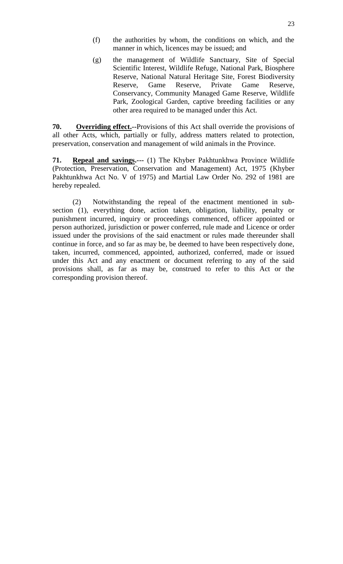- (f) the authorities by whom, the conditions on which, and the manner in which, licences may be issued; and
- (g) the management of Wildlife Sanctuary, Site of Special Scientific Interest, Wildlife Refuge, National Park, Biosphere Reserve, National Natural Heritage Site, Forest Biodiversity Reserve, Game Reserve, Private Game Reserve, Conservancy, Community Managed Game Reserve, Wildlife Park, Zoological Garden, captive breeding facilities or any other area required to be managed under this Act.

**70.** Overriding effect.--Provisions of this Act shall override the provisions of all other Acts, which, partially or fully, address matters related to protection, preservation, conservation and management of wild animals in the Province.

**71. Repeal and savings.---** (1) The Khyber Pakhtunkhwa Province Wildlife (Protection, Preservation, Conservation and Management) Act, 1975 (Khyber Pakhtunkhwa Act No. V of 1975) and Martial Law Order No. 292 of 1981 are hereby repealed.

(2) Notwithstanding the repeal of the enactment mentioned in subsection (1), everything done, action taken, obligation, liability, penalty or punishment incurred, inquiry or proceedings commenced, officer appointed or person authorized, jurisdiction or power conferred, rule made and Licence or order issued under the provisions of the said enactment or rules made thereunder shall continue in force, and so far as may be, be deemed to have been respectively done, taken, incurred, commenced, appointed, authorized, conferred, made or issued under this Act and any enactment or document referring to any of the said provisions shall, as far as may be, construed to refer to this Act or the corresponding provision thereof.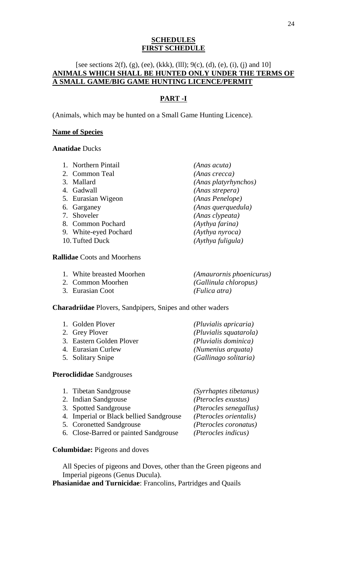#### **SCHEDULES FIRST SCHEDULE**

# [see sections 2(f), (g), (ee), (kkk), (lll); 9(c), (d), (e), (i), (j) and 10] **ANIMALS WHICH SHALL BE HUNTED ONLY UNDER THE TERMS OF A SMALL GAME/BIG GAME HUNTING LICENCE/PERMIT**

# **PART -I**

(Animals, which may be hunted on a Small Game Hunting Licence).

#### **Name of Species**

#### **Anatidae** Ducks

- 1. Northern Pintail *(Anas acuta)*
- 
- 
- 
- 5. Eurasian Wigeon *(Anas Penelope)*
- 
- 
- 8. Common Pochard *(Aythya farina)*
- 9. White-eyed Pochard *(Aythya nyroca)*
- 

#### **Rallidae** Coots and Moorhens

- 1. White breasted Moorhen *(Amaurornis phoenicurus)*
- 
- 3. Eurasian Coot *(Fulica atra)*

#### **Charadriidae** Plovers, Sandpipers, Snipes and other waders

| 1. Golden Plover                           | (Pluvialis apricaria)                          |
|--------------------------------------------|------------------------------------------------|
| 2. Grey Plover<br>3. Eastern Golden Plover | (Pluvialis squatarola)<br>(Pluvialis dominica) |
| 4. Eurasian Curlew                         | (Numenius arquata)                             |
| 5. Solitary Snipe                          | (Gallinago solitaria)                          |

#### **Pteroclididae** Sandgrouses

| 1. Tibetan Sandgrouse                   | (Syrrhaptes tibetanus) |
|-----------------------------------------|------------------------|
| 2. Indian Sandgrouse                    | (Pterocles exustus)    |
| 3. Spotted Sandgrouse                   | (Pterocles senegallus) |
| 4. Imperial or Black bellied Sandgrouse | (Pterocles orientalis) |
| 5. Coronetted Sandgrouse                | (Pterocles coronatus)  |
| 6. Close-Barred or painted Sandgrouse   | (Pterocles indicus)    |
|                                         |                        |

# **Columbidae:** Pigeons and doves

All Species of pigeons and Doves, other than the Green pigeons and Imperial pigeons (Genus Ducula).

**Phasianidae and Turnicidae**: Francolins, Partridges and Quails

2. Common Teal *(Anas crecca)* 3. Mallard *(Anas platyrhynchos)* 4. Gadwall *(Anas strepera)* 6. Garganey *(Anas querquedula)* 7. Shoveler *(Anas clypeata)* 10.Tufted Duck *(Aythya fuligula)*

2. Common Moorhen *(Gallinula chloropus)*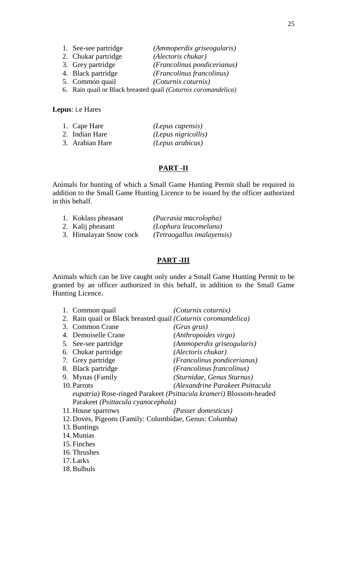6. Rain quail or Black breasted quail *(Coturnix coromandelica)*

#### **Lepus**: i.e Hares

| 1. Cape Hare    | (Lepus capensis)    |
|-----------------|---------------------|
| 2. Indian Hare  | (Lepus nigricollis) |
| 3. Arabian Hare | (Lepus arabicus)    |

#### **PART -II**

Animals for hunting of which a Small Game Hunting Permit shall be required in addition to the Small Game Hunting Licence to be issued by the officer authorized in this behalf.

| 1. Koklass pheasant    | (Pucrasia macrolopha)      |
|------------------------|----------------------------|
| 2. Kalij pheasant      | (Lophura leucomelana)      |
| 3. Himalayan Snow cock | (Tetraogallus imalayensis) |

#### **PART -III**

Animals which can be live caught only under a Small Game Hunting Permit to be granted by an officer authorized in this behalf, in addition to the Small Game Hunting Licence.

| 1. Common quail                                                         | <i>(Coturnix coturnix)</i>                                         |
|-------------------------------------------------------------------------|--------------------------------------------------------------------|
| 2. Rain quail or Black breasted quail ( <i>Coturnix coromandelica</i> ) |                                                                    |
| 3. Common Crane                                                         | $(Grus \, grus)$                                                   |
| 4. Demoiselle Crane                                                     | (Anthropoides virgo)                                               |
| 5. See-see partridge                                                    | (Ammoperdix griseogularis)                                         |
| 6. Chukar partridge                                                     | (Alectoris chukar)                                                 |
| 7. Grey partridge                                                       | <i>(Francolinus pondicerianus)</i>                                 |
| 8. Black partridge                                                      | <i>(Francolinus francolinus)</i>                                   |
| 9. Mynas (Family                                                        | (Sturnidae, Genus Sturnus)                                         |
| 10. Parrots                                                             | (Alexandrine Parakeet Psittacula                                   |
|                                                                         | eupatria) Rose-ringed Parakeet (Psittacula krameri) Blossom-headed |
| Parakeet (Psittacula cyanocephala)                                      |                                                                    |
| 11. House sparrows                                                      | <i>(Passer domesticus)</i>                                         |
| 12. Doves, Pigeons (Family: Columbidae, Genus: Columba)                 |                                                                    |
| 13. Buntings                                                            |                                                                    |
| 14. Munias                                                              |                                                                    |
| 15. Finches                                                             |                                                                    |
| $1 \times T11$                                                          |                                                                    |

- 16.Thrushes
- 17.Larks
- 18.Bulbuls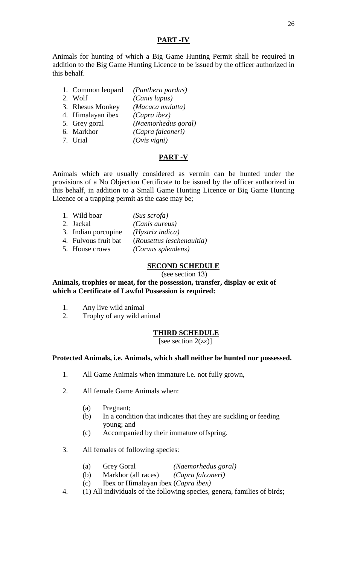#### **PART -IV**

Animals for hunting of which a Big Game Hunting Permit shall be required in addition to the Big Game Hunting Licence to be issued by the officer authorized in this behalf.

- 1. Common leopard *(Panthera pardus)*
- 2. Wolf *(Canis lupus)*
- 3. Rhesus Monkey *(Macaca mulatta)*
- 4. Himalayan ibex *(Capra ibex)*
- 5. Grey goral *(Naemorhedus goral)*
- 6. Markhor *(Capra falconeri)*
	- 7. Urial *(Ovis vigni)*

#### **PART -V**

Animals which are usually considered as vermin can be hunted under the provisions of a No Objection Certificate to be issued by the officer authorized in this behalf, in addition to a Small Game Hunting Licence or Big Game Hunting Licence or a trapping permit as the case may be;

1. Wild boar *(Sus scrofa)* 2. Jackal *(Canis aureus)* 3. Indian porcupine *(Hystrix indica)* 4. Fulvous fruit bat (*Rousettus leschenaultia)* 5. House crows *(Corvus splendens)*

#### **SECOND SCHEDULE**

#### (see section 13)

**Animals, trophies or meat, for the possession, transfer, display or exit of which a Certificate of Lawful Possession is required:**

- 1. Any live wild animal
- 2. Trophy of any wild animal

## **THIRD SCHEDULE**

[see section  $2(zz)$ ]

#### **Protected Animals, i.e. Animals, which shall neither be hunted nor possessed.**

- 1. All Game Animals when immature i.e. not fully grown,
- 2. All female Game Animals when:
	- (a) Pregnant;
	- (b) In a condition that indicates that they are suckling or feeding young; and
	- (c) Accompanied by their immature offspring.
- 3. All females of following species:
	- (a) Grey Goral *(Naemorhedus goral)*
	- (b) Markhor (all races) *(Capra falconeri)*
	- (c) Ibex or Himalayan ibex (*Capra ibex)*
- 4. (1) All individuals of the following species, genera, families of birds;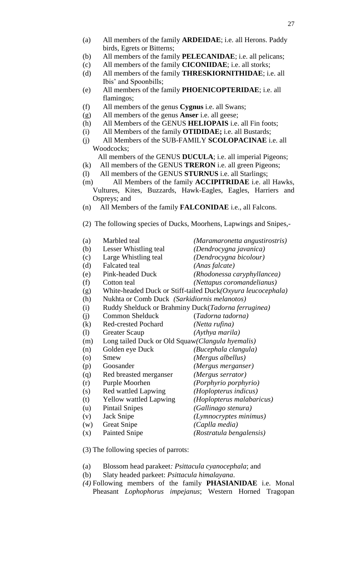- (b) All members of the family **PELECANIDAE**; i.e. all pelicans;
- (c) All members of the family **CICONIIDAE**; i.e. all storks;
- (d) All members of the family **THRESKIORNITHIDAE**; i.e. all Ibis' and Spoonbills;
- (e) All members of the family **PHOENICOPTERIDAE**; i.e. all flamingos;
- (f) All members of the genus **Cygnus** i.e. all Swans;
- (g) All members of the genus **Anser** i.e. all geese;
- (h) All Members of the GENUS **HELIOPAIS** i.e. all Fin foots;
- (i) All Members of the family **OTIDIDAE;** i.e. all Bustards;
- (j) All Members of the SUB-FAMILY **SCOLOPACINAE** i.e. all Woodcocks;

All members of the GENUS **DUCULA**; i.e. all imperial Pigeons;

- (k) All members of the GENUS **TRERON** i.e. all green Pigeons;
- (l) All members of the GENUS **STURNUS** i.e. all Starlings;
- (m) All Members of the family **ACCIPITRIDAE** i.e. all Hawks, Vultures, Kites, Buzzards, Hawk-Eagles, Eagles, Harriers and Ospreys; and
- (n) All Members of the family **FALCONIDAE** i.e., all Falcons.
- (2) The following species of Ducks, Moorhens, Lapwings and Snipes,-

| (a)                | Marbled teal                                        | (Maramaronetta angustirostris)                              |
|--------------------|-----------------------------------------------------|-------------------------------------------------------------|
| (b)                | Lesser Whistling teal                               | (Dendrocygna javanica)                                      |
| (c)                | Large Whistling teal                                | (Dendrocygna bicolour)                                      |
| (d)                | <b>Falcated</b> teal                                | (Anas falcate)                                              |
| (e)                | Pink-headed Duck                                    | (Rhodonessa caryphyllancea)                                 |
| (f)                | Cotton teal                                         | (Nettapus coromandelianus)                                  |
| (g)                |                                                     | White-headed Duck or Stiff-tailed Duck(Oxyura leucocephala) |
| (h)                | Nukhta or Comb Duck (Sarkidiornis melanotos)        |                                                             |
| (i)                | Ruddy Shelduck or Brahminy Duck(Tadorna ferruginea) |                                                             |
| (i)                | <b>Common Shelduck</b>                              | (Tadorna tadorna)                                           |
| (k)                | <b>Red-crested Pochard</b>                          | (Netta rufina)                                              |
| (1)                | <b>Greater Scaup</b>                                | (Aythya marila)                                             |
| (m)                | Long tailed Duck or Old Squaw (Clangula hyemalis)   |                                                             |
| (n)                | Golden eye Duck                                     | (Bucephala clangula)                                        |
| $\left( 0 \right)$ | Smew                                                | (Mergus albellus)                                           |
| (p)                | Goosander                                           | (Mergus merganser)                                          |
| (q)                | Red breasted merganser                              | (Mergus serrator)                                           |
| (r)                | Purple Moorhen                                      | (Porphyrio porphyrio)                                       |
| (s)                | <b>Red wattled Lapwing</b>                          | (Hoplopterus indicus)                                       |
| (t)                | <b>Yellow wattled Lapwing</b>                       | (Hoplopterus malabaricus)                                   |
| (u)                | <b>Pintail Snipes</b>                               | (Gallinago stenura)                                         |
| (v)                | Jack Snipe                                          | (Lymnocryptes minimus)                                      |
| (w)                | <b>Great Snipe</b>                                  | (Caplla media)                                              |
| (x)                | <b>Painted Snipe</b>                                | (Rostratula bengalensis)                                    |
|                    |                                                     |                                                             |

- (3) The following species of parrots:
- (a) Blossom head parakeet*: Psittacula cyanocephala*; and
- (b) Slaty headed parkeet: *Psittacula himalayana*.
- *(4)* Following members of the family **PHASIANIDAE** i.e. Monal Pheasant *Lophophorus impejanus*; Western Horned Tragopan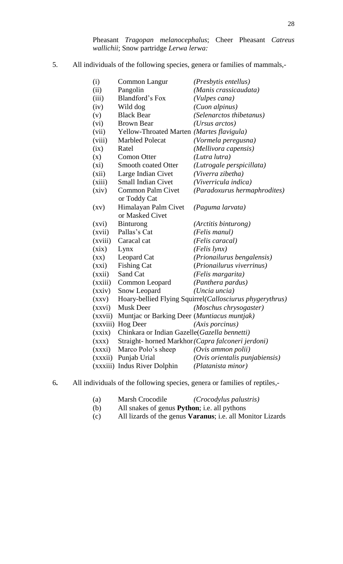Pheasant *Tragopan melanocephalus*; Cheer Pheasant *Catreus wallichii*; Snow partridge *Lerwa lerwa:*

5. All individuals of the following species, genera or families of mammals,-

| (i)                      | Common Langur                                 | (Presbytis entellus)                                     |
|--------------------------|-----------------------------------------------|----------------------------------------------------------|
| (ii)                     | Pangolin                                      | (Manis crassicaudata)                                    |
| (iii)                    | Blandford's Fox                               | (Vulpes cana)                                            |
| (iv)                     | Wild dog                                      | (Cuon alpinus)                                           |
| (v)                      | <b>Black Bear</b>                             | (Selenarctos thibetanus)                                 |
| (vi)                     | <b>Brown Bear</b>                             | ( <i>Ursus arctos</i> )                                  |
| (vii)                    | Yellow-Throated Marten (Martes flavigula)     |                                                          |
| (viii)                   | <b>Marbled Polecat</b>                        | (Vormela peregusna)                                      |
| (ix)                     | Ratel                                         | (Mellivora capensis)                                     |
| (x)                      | <b>Comon Otter</b>                            | (Lutra lutra)                                            |
| $(x_i)$                  | <b>Smooth coated Otter</b>                    | (Lutrogale perspicillata)                                |
| (xii)                    | Large Indian Civet                            | (Viverra zibetha)                                        |
| (xiii)                   | <b>Small Indian Civet</b>                     | (Viverricula indica)                                     |
| (xiv)                    | <b>Common Palm Civet</b>                      | (Paradoxurus hermaphrodites)                             |
|                          | or Toddy Cat                                  |                                                          |
| $\left( xy\right)$       | Himalayan Palm Civet                          | (Paguma larvata)                                         |
|                          | or Masked Civet                               |                                                          |
| (xvi)                    | <b>Binturong</b>                              | (Arctitis binturong)                                     |
| (xvii)                   | Pallas's Cat                                  | (Felis manul)                                            |
| (xviii)                  | Caracal cat                                   | (Felis caracal)                                          |
| (xix)                    | Lynx                                          | (Felis lynx)                                             |
| $(\mathbf{X}\mathbf{X})$ | Leopard Cat                                   | (Prionailurus bengalensis)                               |
| (xxi)                    | <b>Fishing Cat</b>                            | (Prionailurus viverrinus)                                |
| (xxii)                   | Sand Cat                                      | (Felis margarita)                                        |
| (xxiii)                  | Common Leopard                                | (Panthera pardus)                                        |
| (xxiv)                   | Snow Leopard                                  | (Uncia uncia)                                            |
| (XXV)                    |                                               | Hoary-bellied Flying Squirrel(Callosciurus phygerythrus) |
| (xxvi)                   | <b>Musk Deer</b>                              | (Moschus chrysogaster)                                   |
| (xxvii)                  | Muntjac or Barking Deer (Muntiacus muntjak)   |                                                          |
|                          | (xxviii) Hog Deer                             | (Axis porcinus)                                          |
| (xxix)                   | Chinkara or Indian Gazelle (Gazella bennetti) |                                                          |
| (XXX)                    |                                               | Straight-horned Markhor (Capra falconeri jerdoni)        |
| (xxxi)                   | Marco Polo's sheep                            | (Ovis ammon polii)                                       |
|                          | (xxxii) Punjab Urial                          | (Ovis orientalis punjabiensis)                           |
|                          | (xxxiii) Indus River Dolphin                  | (Platanista minor)                                       |
|                          |                                               |                                                          |

- 6**.** All individuals of the following species, genera or families of reptiles,-
	- (a) Marsh Crocodile *(Crocodylus palustris)*
	- (b) All snakes of genus **Python**; i.e. all pythons
	- (c) All lizards of the genus **Varanus**; i.e. all Monitor Lizards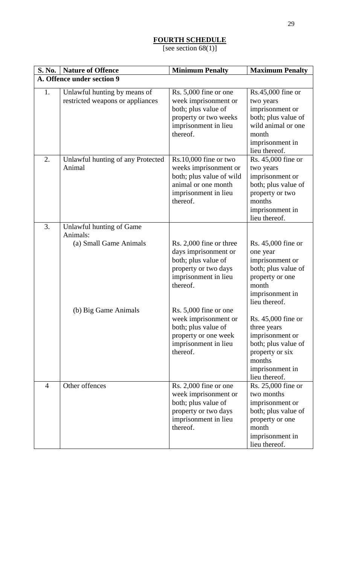# **FOURTH SCHEDULE**

[see section 68(1)]

| <b>S. No.</b>  | <b>Nature of Offence</b>                                         | <b>Minimum Penalty</b>                                                                                                                  | <b>Maximum Penalty</b>                                                                                                                       |  |  |  |
|----------------|------------------------------------------------------------------|-----------------------------------------------------------------------------------------------------------------------------------------|----------------------------------------------------------------------------------------------------------------------------------------------|--|--|--|
|                | A. Offence under section 9                                       |                                                                                                                                         |                                                                                                                                              |  |  |  |
| 1.             | Unlawful hunting by means of<br>restricted weapons or appliances | Rs. 5,000 fine or one<br>week imprisonment or<br>both; plus value of<br>property or two weeks<br>imprisonment in lieu<br>thereof.       | Rs.45,000 fine or<br>two years<br>imprisonment or<br>both; plus value of<br>wild animal or one<br>month<br>imprisonment in<br>lieu thereof.  |  |  |  |
| 2.             | Unlawful hunting of any Protected<br>Animal                      | $Rs.10,000$ fine or two<br>weeks imprisonment or<br>both; plus value of wild<br>animal or one month<br>imprisonment in lieu<br>thereof. | Rs. 45,000 fine or<br>two years<br>imprisonment or<br>both; plus value of<br>property or two<br>months<br>imprisonment in<br>lieu thereof.   |  |  |  |
| 3.             | Unlawful hunting of Game<br>Animals:<br>(a) Small Game Animals   | Rs. 2,000 fine or three<br>days imprisonment or<br>both; plus value of<br>property or two days<br>imprisonment in lieu<br>thereof.      | Rs. 45,000 fine or<br>one year<br>imprisonment or<br>both; plus value of<br>property or one<br>month<br>imprisonment in<br>lieu thereof.     |  |  |  |
|                | (b) Big Game Animals                                             | Rs. 5,000 fine or one<br>week imprisonment or<br>both; plus value of<br>property or one week<br>imprisonment in lieu<br>thereof.        | Rs. 45,000 fine or<br>three years<br>imprisonment or<br>both; plus value of<br>property or six<br>months<br>imprisonment in<br>lieu thereof. |  |  |  |
| $\overline{4}$ | Other offences                                                   | Rs. 2,000 fine or one<br>week imprisonment or<br>both; plus value of<br>property or two days<br>imprisonment in lieu<br>thereof.        | Rs. 25,000 fine or<br>two months<br>imprisonment or<br>both; plus value of<br>property or one<br>month<br>imprisonment in<br>lieu thereof.   |  |  |  |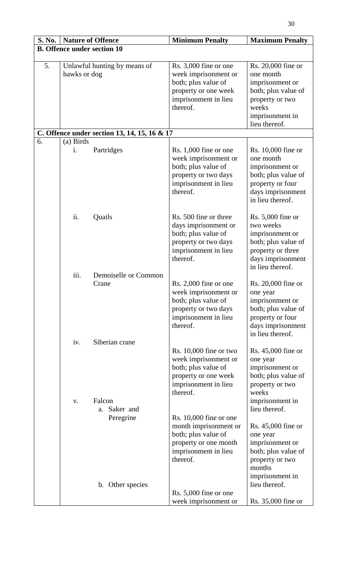| <b>S. No.</b> | <b>Nature of Offence</b>           |                                              | <b>Minimum Penalty</b>                                                                                                                                          | <b>Maximum Penalty</b>                                                                                                                    |  |  |
|---------------|------------------------------------|----------------------------------------------|-----------------------------------------------------------------------------------------------------------------------------------------------------------------|-------------------------------------------------------------------------------------------------------------------------------------------|--|--|
|               | <b>B. Offence under section 10</b> |                                              |                                                                                                                                                                 |                                                                                                                                           |  |  |
| 5.            | hawks or dog                       | Unlawful hunting by means of                 | Rs. 3,000 fine or one<br>week imprisonment or<br>both; plus value of<br>property or one week<br>imprisonment in lieu<br>thereof.                                | Rs. 20,000 fine or<br>one month<br>imprisonment or<br>both; plus value of<br>property or two<br>weeks<br>imprisonment in<br>lieu thereof. |  |  |
|               |                                    | C. Offence under section 13, 14, 15, 16 & 17 |                                                                                                                                                                 |                                                                                                                                           |  |  |
| 6.            | (a) Birds                          |                                              |                                                                                                                                                                 |                                                                                                                                           |  |  |
|               | i.                                 | Partridges                                   | Rs. $1,000$ fine or one<br>week imprisonment or<br>both; plus value of<br>property or two days<br>imprisonment in lieu<br>thereof.                              | Rs. 10,000 fine or<br>one month<br>imprisonment or<br>both; plus value of<br>property or four<br>days imprisonment<br>in lieu thereof.    |  |  |
|               | ii.                                | Quails                                       | Rs. 500 fine or three<br>days imprisonment or<br>both; plus value of<br>property or two days<br>imprisonment in lieu<br>thereof.                                | $Rs. 5,000$ fine or<br>two weeks<br>imprisonment or<br>both; plus value of<br>property or three<br>days imprisonment<br>in lieu thereof.  |  |  |
|               | iii.                               | Demoiselle or Common                         |                                                                                                                                                                 |                                                                                                                                           |  |  |
|               |                                    | Crane                                        | Rs. 2,000 fine or one<br>week imprisonment or<br>both; plus value of<br>property or two days<br>imprisonment in lieu<br>thereof.                                | Rs. 20,000 fine or<br>one year<br>imprisonment or<br>both; plus value of<br>property or four<br>days imprisonment<br>in lieu thereof.     |  |  |
|               | iv.                                | Siberian crane                               |                                                                                                                                                                 |                                                                                                                                           |  |  |
|               | V.                                 | Falcon<br>Saker and<br>a.                    | Rs. $10,000$ fine or two<br>week imprisonment or<br>both; plus value of<br>property or one week<br>imprisonment in lieu<br>thereof.<br>Rs. $10,000$ fine or one | Rs. 45,000 fine or<br>one year<br>imprisonment or<br>both; plus value of<br>property or two<br>weeks<br>imprisonment in<br>lieu thereof.  |  |  |
|               |                                    | Peregrine                                    | month imprisonment or<br>both; plus value of<br>property or one month<br>imprisonment in lieu<br>thereof.                                                       | Rs. 45,000 fine or<br>one year<br>imprisonment or<br>both; plus value of<br>property or two<br>months                                     |  |  |
|               |                                    | b. Other species                             |                                                                                                                                                                 | imprisonment in<br>lieu thereof.                                                                                                          |  |  |
|               |                                    |                                              | Rs. 5,000 fine or one<br>week imprisonment or                                                                                                                   | Rs. 35,000 fine or                                                                                                                        |  |  |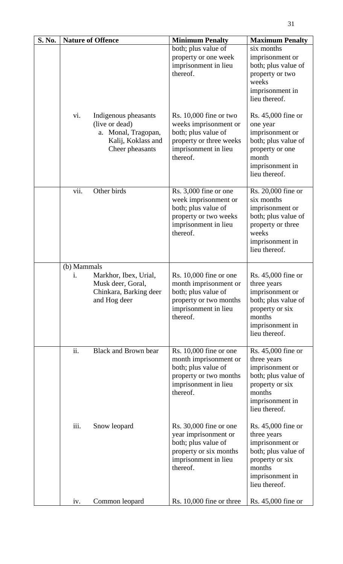| S. No. |                   | <b>Nature of Offence</b>                                                                               | <b>Minimum Penalty</b>                                                                                                                  | <b>Maximum Penalty</b>                                                                                                                         |
|--------|-------------------|--------------------------------------------------------------------------------------------------------|-----------------------------------------------------------------------------------------------------------------------------------------|------------------------------------------------------------------------------------------------------------------------------------------------|
|        |                   |                                                                                                        | both; plus value of<br>property or one week<br>imprisonment in lieu<br>thereof.                                                         | six months<br>imprisonment or<br>both; plus value of<br>property or two<br>weeks<br>imprisonment in<br>lieu thereof.                           |
|        | vi.               | Indigenous pheasants<br>(live or dead)<br>a. Monal, Tragopan,<br>Kalij, Koklass and<br>Cheer pheasants | Rs. $10,000$ fine or two<br>weeks imprisonment or<br>both; plus value of<br>property or three weeks<br>imprisonment in lieu<br>thereof. | Rs. 45,000 fine or<br>one year<br>imprisonment or<br>both; plus value of<br>property or one<br>month<br>imprisonment in<br>lieu thereof.       |
|        | vii.              | Other birds                                                                                            | Rs. 3,000 fine or one<br>week imprisonment or<br>both; plus value of<br>property or two weeks<br>imprisonment in lieu<br>thereof.       | Rs. 20,000 fine or<br>six months<br>imprisonment or<br>both; plus value of<br>property or three<br>weeks<br>imprisonment in<br>lieu thereof.   |
|        | (b) Mammals<br>i. | Markhor, Ibex, Urial,<br>Musk deer, Goral.<br>Chinkara, Barking deer<br>and Hog deer                   | Rs. $10,000$ fine or one<br>month imprisonment or<br>both; plus value of<br>property or two months<br>imprisonment in lieu<br>thereof.  | Rs. $45,000$ fine or<br>three years<br>imprisonment or<br>both; plus value of<br>property or six<br>months<br>imprisonment in<br>lieu thereof. |
|        | ii.               | <b>Black and Brown bear</b>                                                                            | Rs. 10,000 fine or one<br>month imprisonment or<br>both; plus value of<br>property or two months<br>imprisonment in lieu<br>thereof.    | Rs. 45,000 fine or<br>three years<br>imprisonment or<br>both; plus value of<br>property or six<br>months<br>imprisonment in<br>lieu thereof.   |
|        | iii.              | Snow leopard                                                                                           | Rs. $30,000$ fine or one<br>year imprisonment or<br>both; plus value of<br>property or six months<br>imprisonment in lieu<br>thereof.   | Rs. 45,000 fine or<br>three years<br>imprisonment or<br>both; plus value of<br>property or six<br>months<br>imprisonment in<br>lieu thereof.   |
|        | iv.               | Common leopard                                                                                         | Rs. 10,000 fine or three                                                                                                                | Rs. 45,000 fine or                                                                                                                             |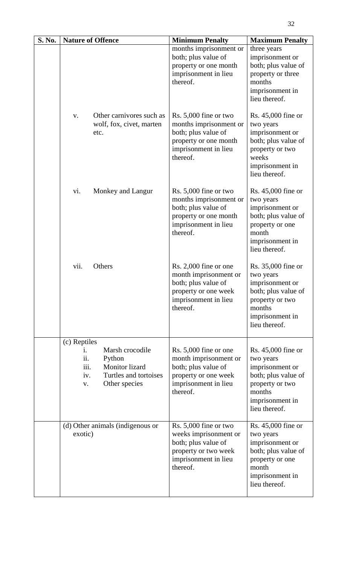| S. No. | <b>Nature of Offence</b>                                                                                                                | <b>Minimum Penalty</b>                                                                                                                | <b>Maximum Penalty</b>                                                                                                                       |
|--------|-----------------------------------------------------------------------------------------------------------------------------------------|---------------------------------------------------------------------------------------------------------------------------------------|----------------------------------------------------------------------------------------------------------------------------------------------|
|        |                                                                                                                                         | months imprisonment or<br>both; plus value of<br>property or one month<br>imprisonment in lieu<br>thereof.                            | three years<br>imprisonment or<br>both; plus value of<br>property or three<br>months<br>imprisonment in<br>lieu thereof.                     |
|        | Other carnivores such as<br>V.<br>wolf, fox, civet, marten<br>etc.                                                                      | Rs. $5,000$ fine or two<br>months imprisonment or<br>both; plus value of<br>property or one month<br>imprisonment in lieu<br>thereof. | Rs. $45,000$ fine or<br>two years<br>imprisonment or<br>both; plus value of<br>property or two<br>weeks<br>imprisonment in<br>lieu thereof.  |
|        | vi.<br>Monkey and Langur                                                                                                                | Rs. 5,000 fine or two<br>months imprisonment or<br>both; plus value of<br>property or one month<br>imprisonment in lieu<br>thereof.   | Rs. 45,000 fine or<br>two years<br>imprisonment or<br>both; plus value of<br>property or one<br>month<br>imprisonment in<br>lieu thereof.    |
|        | vii.<br>Others                                                                                                                          | Rs. 2,000 fine or one<br>month imprisonment or<br>both; plus value of<br>property or one week<br>imprisonment in lieu<br>thereof.     | Rs. 35,000 fine or<br>two years<br>imprisonment or<br>both; plus value of<br>property or two<br>months<br>imprisonment in<br>lieu thereof.   |
|        | (c) Reptiles<br>Marsh crocodile<br>1.<br>ii.<br>Python<br>iii.<br>Monitor lizard<br>Turtles and tortoises<br>iv.<br>Other species<br>V. | Rs. $5,000$ fine or one<br>month imprisonment or<br>both; plus value of<br>property or one week<br>imprisonment in lieu<br>thereof.   | Rs. $45,000$ fine or<br>two years<br>imprisonment or<br>both; plus value of<br>property or two<br>months<br>imprisonment in<br>lieu thereof. |
|        | (d) Other animals (indigenous or<br>exotic)                                                                                             | Rs. 5,000 fine or two<br>weeks imprisonment or<br>both; plus value of<br>property or two week<br>imprisonment in lieu<br>thereof.     | Rs. 45,000 fine or<br>two years<br>imprisonment or<br>both; plus value of<br>property or one<br>month<br>imprisonment in<br>lieu thereof.    |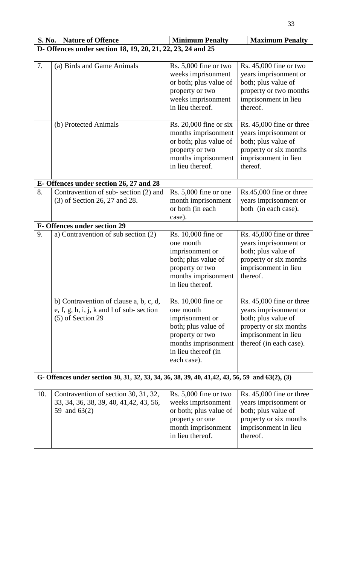| S. No. | <b>Nature of Offence</b>                                                                                    | <b>Minimum Penalty</b>                                                                                                                                    | <b>Maximum Penalty</b>                                                                                                                                |  |  |  |
|--------|-------------------------------------------------------------------------------------------------------------|-----------------------------------------------------------------------------------------------------------------------------------------------------------|-------------------------------------------------------------------------------------------------------------------------------------------------------|--|--|--|
|        | D- Offences under section 18, 19, 20, 21, 22, 23, 24 and 25                                                 |                                                                                                                                                           |                                                                                                                                                       |  |  |  |
| 7.     | (a) Birds and Game Animals                                                                                  | Rs. 5,000 fine or two<br>weeks imprisonment<br>or both; plus value of<br>property or two<br>weeks imprisonment<br>in lieu thereof.                        | Rs. $45,000$ fine or two<br>years imprisonment or<br>both; plus value of<br>property or two months<br>imprisonment in lieu<br>thereof.                |  |  |  |
|        | (b) Protected Animals                                                                                       | Rs. $20,000$ fine or six<br>months imprisonment<br>or both; plus value of<br>property or two<br>months imprisonment<br>in lieu thereof.                   | Rs. 45,000 fine or three<br>years imprisonment or<br>both; plus value of<br>property or six months<br>imprisonment in lieu<br>thereof.                |  |  |  |
|        | E-Offences under section 26, 27 and 28                                                                      |                                                                                                                                                           |                                                                                                                                                       |  |  |  |
| 8.     | Contravention of sub-section (2) and<br>(3) of Section 26, 27 and 28.                                       | Rs. 5,000 fine or one<br>month imprisonment<br>or both (in each<br>case).                                                                                 | Rs.45,000 fine or three<br>years imprisonment or<br>both (in each case).                                                                              |  |  |  |
|        | F- Offences under section 29                                                                                |                                                                                                                                                           |                                                                                                                                                       |  |  |  |
| 9.     | a) Contravention of sub section (2)                                                                         | Rs. 10,000 fine or<br>one month<br>imprisonment or<br>both; plus value of<br>property or two<br>months imprisonment<br>in lieu thereof.                   | Rs. 45,000 fine or three<br>years imprisonment or<br>both; plus value of<br>property or six months<br>imprisonment in lieu<br>thereof.                |  |  |  |
|        | b) Contravention of clause a, b, c, d,<br>e, f, g, h, i, j, k and $l$ of sub-section<br>$(5)$ of Section 29 | Rs. 10,000 fine or<br>one month<br>imprisonment or<br>both; plus value of<br>property or two<br>months imprisonment<br>in lieu thereof (in<br>each case). | Rs. 45,000 fine or three<br>years imprisonment or<br>both; plus value of<br>property or six months<br>imprisonment in lieu<br>thereof (in each case). |  |  |  |
|        | G- Offences under section 30, 31, 32, 33, 34, 36, 38, 39, 40, 41, 42, 43, 56, 59 and 63(2), (3)             |                                                                                                                                                           |                                                                                                                                                       |  |  |  |
| 10.    | Contravention of section 30, 31, 32,<br>33, 34, 36, 38, 39, 40, 41, 42, 43, 56,<br>59 and 63(2)             | Rs. 5,000 fine or two<br>weeks imprisonment<br>or both; plus value of<br>property or one<br>month imprisonment<br>in lieu thereof.                        | Rs. 45,000 fine or three<br>years imprisonment or<br>both; plus value of<br>property or six months<br>imprisonment in lieu<br>thereof.                |  |  |  |